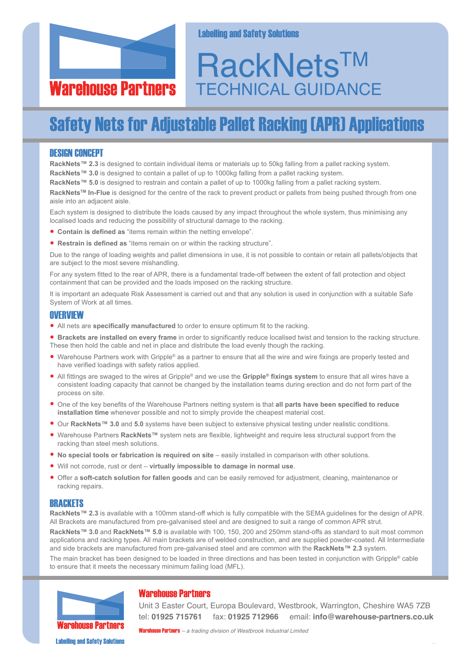

#### **Labelling and Safety Solutions**

# **RackNets™** TECHNICAL GUIDANCE

# **Safety Nets for Adjustable Pallet Racking (APR) Applications**

#### DESIGN CONCEPT

**RackNets™ 2.3** is designed to contain individual items or materials up to 50kg falling from a pallet racking system. **RackNets™ 3.0** is designed to contain a pallet of up to 1000kg falling from a pallet racking system.

**RackNets™ 5.0** is designed to restrain and contain a pallet of up to 1000kg falling from a pallet racking system.

**RackNetsTM In-Flue** is designed for the centre of the rack to prevent product or pallets from being pushed through from one aisle into an adjacent aisle.

Each system is designed to distribute the loads caused by any impact throughout the whole system, thus minimising any localised loads and reducing the possibility of structural damage to the racking.

- **Contain is defined as** "items remain within the netting envelope".
- **Restrain is defined as** "items remain on or within the racking structure".

Due to the range of loading weights and pallet dimensions in use, it is not possible to contain or retain all pallets/objects that are subject to the most severe mishandling.

For any system fitted to the rear of APR, there is a fundamental trade-off between the extent of fall protection and object containment that can be provided and the loads imposed on the racking structure.

It is important an adequate Risk Assessment is carried out and that any solution is used in conjunction with a suitable Safe System of Work at all times.

#### **OVERVIEW**

- All nets are **specifically manufactured** to order to ensure optimum fit to the racking.
- **Brackets are installed on every frame** in order to significantly reduce localised twist and tension to the racking structure. These then hold the cable and net in place and distribute the load evenly though the racking.
- Warehouse Partners work with Gripple® as <sup>a</sup> partner to ensure that all the wire and wire fixings are properly tested and have verified loadings with safety ratios applied.
- All fittings are swaged to the wires at Gripple® and we use the **Gripple® fixings system** to ensure that all wires have <sup>a</sup> consistent loading capacity that cannot be changed by the installation teams during erection and do not form part of the process on site.
- One of the key benefits of the Warehouse Partners netting system is that **all parts have been specified to reduce installation time** whenever possible and not to simply provide the cheapest material cost.
- Our **RackNets™ 3.0** and **5.0** systems have been subject to extensive physical testing under realistic conditions.
- Warehouse Partners **RackNets™** system nets are flexible, lightweight and require less structural support from the racking than steel mesh solutions.
- **No special tools or fabrication is required on site** easily installed in comparison with other solutions.
- Will not corrode, rust or dent **virtually impossible to damage in normal use**.
- Offer <sup>a</sup> **soft-catch solution for fallen goods** and can be easily removed for adjustment, cleaning, maintenance or racking repairs.

#### **BRACKETS**

**RackNets™ 2.3** is available with a 100mm stand-off which is fully compatible with the SEMA guidelines for the design of APR. All Brackets are manufactured from pre-galvanised steel and are designed to suit a range of common APR strut.

**RackNets™ 3.0** and **RackNets™ 5.0** is available with 100, 150, 200 and 250mm stand-offs as standard to suit most common applications and racking types. All main brackets are of welded construction, and are supplied powder-coated. All Intermediate and side brackets are manufactured from pre-galvanised steel and are common with the **RackNets™ 2.3** system.

The main bracket has been designed to be loaded in three directions and has been tested in conjunction with Gripple® cable to ensure that it meets the necessary minimum failing load (MFL).



# **Warehouse Partners**

Unit 3 Easter Court, Europa Boulevard, Westbrook, Warrington, Cheshire WA5 7ZB tel: **01925 715761** fax: **01925 712966** email: **info@warehouse-partners.co.uk**

WarehousePartners *– a trading division of Westbrook Industrial Limited*

**Labelling and Safety Solutions**